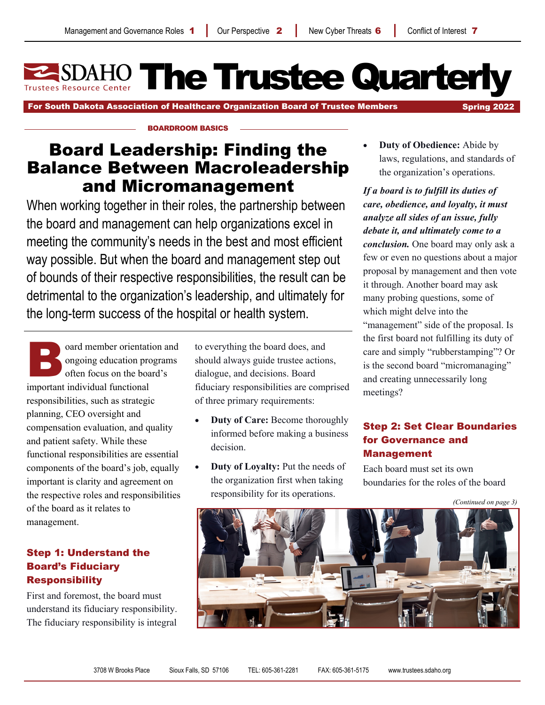**SDAHO The Trustee Quarterly** 

For South Dakota Association of Healthcare Organization Board of Trustee Members Spring 2022

#### BOARDROOM BASICS

# Board Leadership: Finding the Balance Between Macroleadership and Micromanagement

When working together in their roles, the partnership between the board and management can help organizations excel in meeting the community's needs in the best and most efficient way possible. But when the board and management step out of bounds of their respective responsibilities, the result can be detrimental to the organization's leadership, and ultimately for the long-term success of the hospital or health system.

oard member orientation and<br>ongoing education programs<br>often focus on the board's<br>important individual functional ongoing education programs often focus on the board's important individual functional responsibilities, such as strategic planning, CEO oversight and compensation evaluation, and quality and patient safety. While these functional responsibilities are essential components of the board's job, equally important is clarity and agreement on the respective roles and responsibilities of the board as it relates to management.

# Step 1: Understand the Board's Fiduciary **Responsibility**

First and foremost, the board must understand its fiduciary responsibility. The fiduciary responsibility is integral to everything the board does, and should always guide trustee actions, dialogue, and decisions. Board fiduciary responsibilities are comprised of three primary requirements:

- **Duty of Care:** Become thoroughly informed before making a business decision.
- **Duty of Loyalty:** Put the needs of the organization first when taking responsibility for its operations.

 **Duty of Obedience:** Abide by laws, regulations, and standards of the organization's operations.

*If a board is to fulfill its duties of care, obedience, and loyalty, it must analyze all sides of an issue, fully debate it, and ultimately come to a conclusion.* One board may only ask a few or even no questions about a major proposal by management and then vote it through. Another board may ask many probing questions, some of which might delve into the "management" side of the proposal. Is the first board not fulfilling its duty of care and simply "rubberstamping"? Or is the second board "micromanaging" and creating unnecessarily long meetings?

# Step 2: Set Clear Boundaries for Governance and Management

Each board must set its own boundaries for the roles of the board

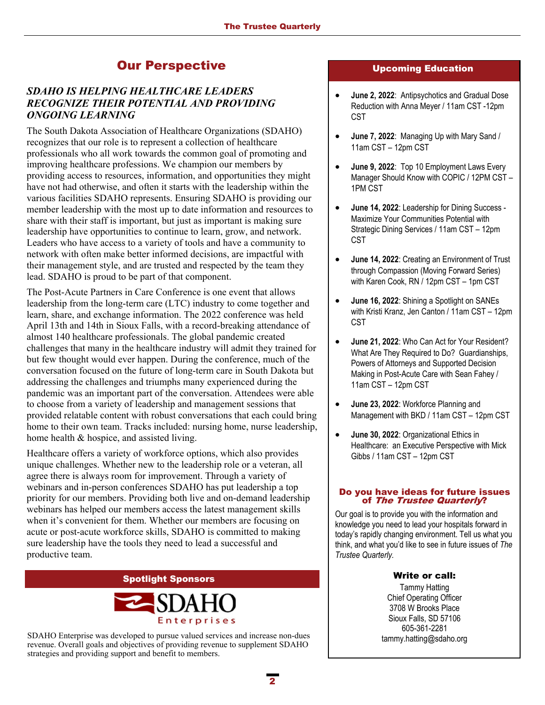# Our Perspective **Upcoming Education**

# *SDAHO IS HELPING HEALTHCARE LEADERS RECOGNIZE THEIR POTENTIAL AND PROVIDING ONGOING LEARNING*

The South Dakota Association of Healthcare Organizations (SDAHO) recognizes that our role is to represent a collection of healthcare professionals who all work towards the common goal of promoting and improving healthcare professions. We champion our members by providing access to resources, information, and opportunities they might have not had otherwise, and often it starts with the leadership within the various facilities SDAHO represents. Ensuring SDAHO is providing our member leadership with the most up to date information and resources to share with their staff is important, but just as important is making sure leadership have opportunities to continue to learn, grow, and network. Leaders who have access to a variety of tools and have a community to network with often make better informed decisions, are impactful with their management style, and are trusted and respected by the team they lead. SDAHO is proud to be part of that component.

The Post-Acute Partners in Care Conference is one event that allows leadership from the long-term care (LTC) industry to come together and learn, share, and exchange information. The 2022 conference was held April 13th and 14th in Sioux Falls, with a record-breaking attendance of almost 140 healthcare professionals. The global pandemic created challenges that many in the healthcare industry will admit they trained for but few thought would ever happen. During the conference, much of the conversation focused on the future of long-term care in South Dakota but addressing the challenges and triumphs many experienced during the pandemic was an important part of the conversation. Attendees were able to choose from a variety of leadership and management sessions that provided relatable content with robust conversations that each could bring home to their own team. Tracks included: nursing home, nurse leadership, home health & hospice, and assisted living.

Healthcare offers a variety of workforce options, which also provides unique challenges. Whether new to the leadership role or a veteran, all agree there is always room for improvement. Through a variety of webinars and in-person conferences SDAHO has put leadership a top priority for our members. Providing both live and on-demand leadership webinars has helped our members access the latest management skills when it's convenient for them. Whether our members are focusing on acute or post-acute workforce skills, SDAHO is committed to making sure leadership have the tools they need to lead a successful and productive team.

#### Spotlight Sponsors



SDAHO Enterprise was developed to pursue valued services and increase non-dues revenue. Overall goals and objectives of providing revenue to supplement SDAHO strategies and providing support and benefit to members.

- **June 2, 2022**: Antipsychotics and Gradual Dose Reduction with Anna Meyer / 11am CST -12pm CST
- **June 7, 2022**: Managing Up with Mary Sand / 11am CST – 12pm CST
- **June 9, 2022**: Top 10 Employment Laws Every Manager Should Know with COPIC / 12PM CST – 1PM CST
- **June 14, 2022**: Leadership for Dining Success Maximize Your Communities Potential with Strategic Dining Services / 11am CST – 12pm CST
- **June 14, 2022**: Creating an Environment of Trust through Compassion (Moving Forward Series) with Karen Cook, RN / 12pm CST – 1pm CST
- **June 16, 2022**: Shining a Spotlight on SANEs with Kristi Kranz, Jen Canton / 11am CST – 12pm CST
- **June 21, 2022**: Who Can Act for Your Resident? What Are They Required to Do? Guardianships, Powers of Attorneys and Supported Decision Making in Post-Acute Care with Sean Fahey / 11am CST – 12pm CST
- **June 23, 2022**: Workforce Planning and Management with BKD / 11am CST – 12pm CST
- **June 30, 2022**: Organizational Ethics in Healthcare: an Executive Perspective with Mick Gibbs / 11am CST – 12pm CST

#### Do you have ideas for future issues of The Trustee Quarterly?

Our goal is to provide you with the information and knowledge you need to lead your hospitals forward in today's rapidly changing environment. Tell us what you think, and what you'd like to see in future issues of *The Trustee Quarterly.* 

#### Write or call:

Tammy Hatting Chief Operating Officer 3708 W Brooks Place Sioux Falls, SD 57106 605-361-2281 tammy.hatting@sdaho.org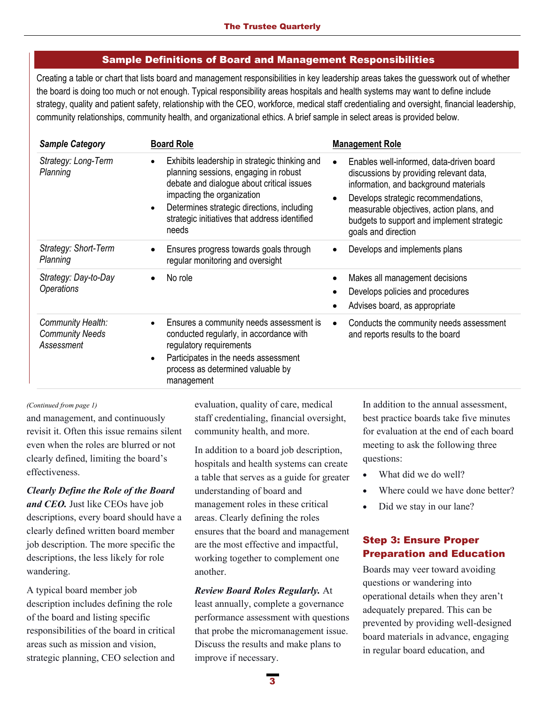### Sample Definitions of Board and Management Responsibilities

Creating a table or chart that lists board and management responsibilities in key leadership areas takes the guesswork out of whether the board is doing too much or not enough. Typical responsibility areas hospitals and health systems may want to define include strategy, quality and patient safety, relationship with the CEO, workforce, medical staff credentialing and oversight, financial leadership, community relationships, community health, and organizational ethics. A brief sample in select areas is provided below.

| <b>Sample Category</b>                                    | <b>Board Role</b>                                                                                                                                                                                                                                                                                   | <b>Management Role</b>                                                                                                                                                                                                                                                                                         |
|-----------------------------------------------------------|-----------------------------------------------------------------------------------------------------------------------------------------------------------------------------------------------------------------------------------------------------------------------------------------------------|----------------------------------------------------------------------------------------------------------------------------------------------------------------------------------------------------------------------------------------------------------------------------------------------------------------|
| Strategy: Long-Term<br>Planning                           | Exhibits leadership in strategic thinking and<br>$\bullet$<br>planning sessions, engaging in robust<br>debate and dialogue about critical issues<br>impacting the organization<br>Determines strategic directions, including<br>$\bullet$<br>strategic initiatives that address identified<br>needs | Enables well-informed, data-driven board<br>$\bullet$<br>discussions by providing relevant data,<br>information, and background materials<br>Develops strategic recommendations,<br>$\bullet$<br>measurable objectives, action plans, and<br>budgets to support and implement strategic<br>goals and direction |
| Strategy: Short-Term<br>Planning                          | Ensures progress towards goals through<br>$\bullet$<br>regular monitoring and oversight                                                                                                                                                                                                             | Develops and implements plans<br>$\bullet$                                                                                                                                                                                                                                                                     |
| Strategy: Day-to-Day<br><b>Operations</b>                 | No role<br>$\bullet$                                                                                                                                                                                                                                                                                | Makes all management decisions<br>$\bullet$<br>Develops policies and procedures<br>Advises board, as appropriate                                                                                                                                                                                               |
| Community Health:<br><b>Community Needs</b><br>Assessment | Ensures a community needs assessment is<br>$\bullet$<br>conducted regularly, in accordance with<br>regulatory requirements<br>Participates in the needs assessment<br>$\bullet$<br>process as determined valuable by<br>management                                                                  | Conducts the community needs assessment<br>$\bullet$<br>and reports results to the board                                                                                                                                                                                                                       |

#### *(Continued from page 1)*

and management, and continuously revisit it. Often this issue remains silent even when the roles are blurred or not clearly defined, limiting the board's effectiveness.

*Clearly Define the Role of the Board and CEO.* Just like CEOs have job descriptions, every board should have a clearly defined written board member job description. The more specific the descriptions, the less likely for role wandering.

A typical board member job description includes defining the role of the board and listing specific responsibilities of the board in critical areas such as mission and vision, strategic planning, CEO selection and

evaluation, quality of care, medical staff credentialing, financial oversight, community health, and more.

In addition to a board job description, hospitals and health systems can create a table that serves as a guide for greater understanding of board and management roles in these critical areas. Clearly defining the roles ensures that the board and management are the most effective and impactful, working together to complement one another.

#### *Review Board Roles Regularly.* At

least annually, complete a governance performance assessment with questions that probe the micromanagement issue. Discuss the results and make plans to improve if necessary.

In addition to the annual assessment, best practice boards take five minutes for evaluation at the end of each board meeting to ask the following three questions:

- What did we do well?
- Where could we have done better?
- Did we stay in our lane?

### Step 3: Ensure Proper Preparation and Education

Boards may veer toward avoiding questions or wandering into operational details when they aren't adequately prepared. This can be prevented by providing well-designed board materials in advance, engaging in regular board education, and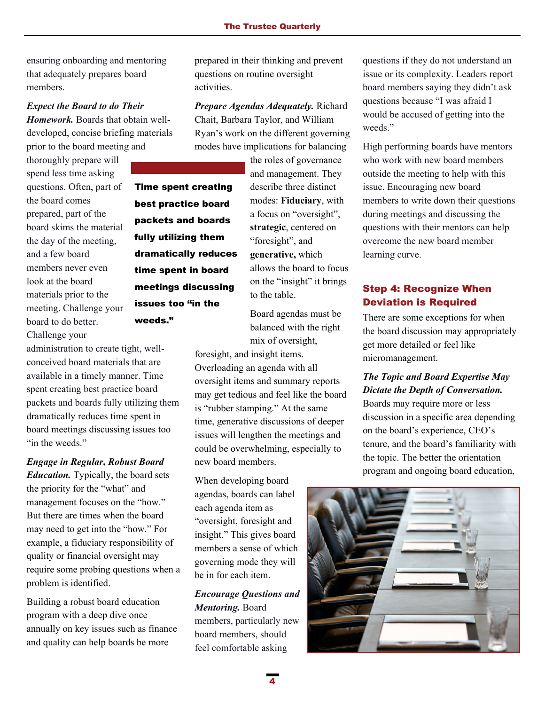ensuring onboarding and mentoring that adequately prepares board members.

# *Expect the Board to do Their Homework.* Boards that obtain welldeveloped, concise briefing materials prior to the board meeting and

thoroughly prepare will spend less time asking questions. Often, part of the board comes prepared, part of the board skims the material the day of the meeting, and a few board members never even look at the board materials prior to the meeting. Challenge your board to do better. Challenge your

administration to create tight, wellconceived board materials that are available in a timely manner. Time spent creating best practice board packets and boards fully utilizing them dramatically reduces time spent in board meetings discussing issues too "in the weeds."

weeds."

# *Engage in Regular, Robust Board Education.* Typically, the board sets the priority for the "what" and management focuses on the "how." But there are times when the board may need to get into the "how." For example, a fiduciary responsibility of quality or financial oversight may require some probing questions when a problem is identified.

Building a robust board education program with a deep dive once annually on key issues such as finance and quality can help boards be more

prepared in their thinking and prevent questions on routine oversight activities.

*Prepare Agendas Adequately.* Richard Chait, Barbara Taylor, and William Ryan's work on the different governing modes have implications for balancing

the roles of governance

and management. They describe three distinct modes: **Fiduciary**, with a focus on "oversight", **strategic**, centered on "foresight", and **generative,** which allows the board to focus on the "insight" it brings to the table. Time spent creating best practice board packets and boards fully utilizing them dramatically reduces time spent in board meetings discussing issues too "in the

Board agendas must be balanced with the right mix of oversight,

foresight, and insight items. Overloading an agenda with all oversight items and summary reports may get tedious and feel like the board is "rubber stamping." At the same time, generative discussions of deeper issues will lengthen the meetings and could be overwhelming, especially to new board members.

When developing board agendas, boards can label each agenda item as "oversight, foresight and insight." This gives board members a sense of which governing mode they will be in for each item.

### *Encourage Questions and Mentoring.* Board

members, particularly new board members, should feel comfortable asking

questions if they do not understand an issue or its complexity. Leaders report board members saying they didn't ask questions because "I was afraid I would be accused of getting into the weeds."

High performing boards have mentors who work with new board members outside the meeting to help with this issue. Encouraging new board members to write down their questions during meetings and discussing the questions with their mentors can help overcome the new board member learning curve.

# Step 4: Recognize When Deviation is Required

There are some exceptions for when the board discussion may appropriately get more detailed or feel like micromanagement.

# *The Topic and Board Expertise May Dictate the Depth of Conversation.*

Boards may require more or less discussion in a specific area depending on the board's experience, CEO's tenure, and the board's familiarity with the topic. The better the orientation program and ongoing board education,

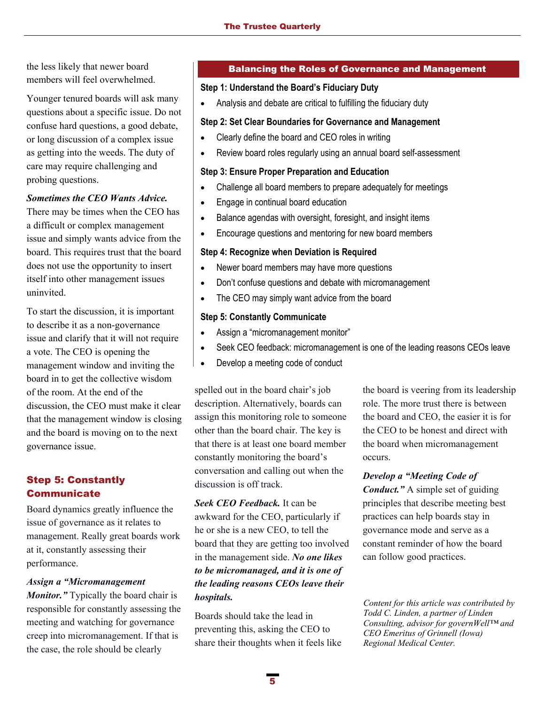the less likely that newer board members will feel overwhelmed.

Younger tenured boards will ask many questions about a specific issue. Do not confuse hard questions, a good debate, or long discussion of a complex issue as getting into the weeds. The duty of care may require challenging and probing questions.

#### *Sometimes the CEO Wants Advice.*

There may be times when the CEO has a difficult or complex management issue and simply wants advice from the board. This requires trust that the board does not use the opportunity to insert itself into other management issues uninvited.

To start the discussion, it is important to describe it as a non-governance issue and clarify that it will not require a vote. The CEO is opening the management window and inviting the board in to get the collective wisdom of the room. At the end of the discussion, the CEO must make it clear that the management window is closing and the board is moving on to the next governance issue.

# Step 5: Constantly **Communicate**

Board dynamics greatly influence the issue of governance as it relates to management. Really great boards work at it, constantly assessing their performance.

#### *Assign a "Micromanagement*

*Monitor."* Typically the board chair is responsible for constantly assessing the meeting and watching for governance creep into micromanagement. If that is the case, the role should be clearly

#### Balancing the Roles of Governance and Management

#### **Step 1: Understand the Board's Fiduciary Duty**

Analysis and debate are critical to fulfilling the fiduciary duty

#### **Step 2: Set Clear Boundaries for Governance and Management**

- Clearly define the board and CEO roles in writing
- Review board roles regularly using an annual board self-assessment

#### **Step 3: Ensure Proper Preparation and Education**

- Challenge all board members to prepare adequately for meetings
- Engage in continual board education
- Balance agendas with oversight, foresight, and insight items
- Encourage questions and mentoring for new board members

#### **Step 4: Recognize when Deviation is Required**

- Newer board members may have more questions
- Don't confuse questions and debate with micromanagement
- The CEO may simply want advice from the board

#### **Step 5: Constantly Communicate**

- Assign a "micromanagement monitor"
- Seek CEO feedback: micromanagement is one of the leading reasons CEOs leave
- Develop a meeting code of conduct

spelled out in the board chair's job description. Alternatively, boards can assign this monitoring role to someone other than the board chair. The key is that there is at least one board member constantly monitoring the board's conversation and calling out when the discussion is off track.

*Seek CEO Feedback.* It can be awkward for the CEO, particularly if he or she is a new CEO, to tell the board that they are getting too involved in the management side. *No one likes to be micromanaged, and it is one of the leading reasons CEOs leave their hospitals.* 

Boards should take the lead in preventing this, asking the CEO to share their thoughts when it feels like

the board is veering from its leadership role. The more trust there is between the board and CEO, the easier it is for the CEO to be honest and direct with the board when micromanagement occurs.

*Develop a "Meeting Code of Conduct."* A simple set of guiding principles that describe meeting best practices can help boards stay in governance mode and serve as a constant reminder of how the board can follow good practices.

*Content for this article was contributed by Todd C. Linden, a partner of Linden Consulting, advisor for governWell™ and CEO Emeritus of Grinnell (Iowa) Regional Medical Center.*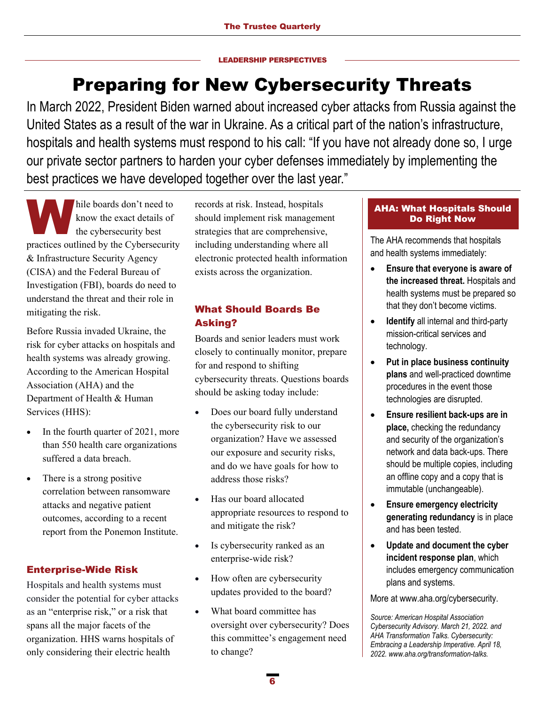#### LEADERSHIP PERSPECTIVES

# Preparing for New Cybersecurity Threats

In March 2022, President Biden warned about increased cyber attacks from Russia against the United States as a result of the war in Ukraine. As a critical part of the nation's infrastructure, hospitals and health systems must respond to his call: "If you have not already done so, I urge our private sector partners to harden your cyber defenses immediately by implementing the best practices we have developed together over the last year."

hile boards don't need to<br>know the exact details of<br>the cybersecurity best<br>prestiges outlined by the Cybersecurity know the exact details of the cybersecurity best practices outlined by the Cybersecurity & Infrastructure Security Agency (CISA) and the Federal Bureau of Investigation (FBI), boards do need to understand the threat and their role in mitigating the risk.

Before Russia invaded Ukraine, the risk for cyber attacks on hospitals and health systems was already growing. According to the American Hospital Association (AHA) and the Department of Health & Human Services (HHS):

- In the fourth quarter of 2021, more than 550 health care organizations suffered a data breach.
- There is a strong positive correlation between ransomware attacks and negative patient outcomes, according to a recent report from the Ponemon Institute.

# Enterprise-Wide Risk

Hospitals and health systems must consider the potential for cyber attacks as an "enterprise risk," or a risk that spans all the major facets of the organization. HHS warns hospitals of only considering their electric health

records at risk. Instead, hospitals should implement risk management strategies that are comprehensive, including understanding where all electronic protected health information exists across the organization.

# What Should Boards Be Asking?

Boards and senior leaders must work closely to continually monitor, prepare for and respond to shifting cybersecurity threats. Questions boards should be asking today include:

- Does our board fully understand the cybersecurity risk to our organization? Have we assessed our exposure and security risks, and do we have goals for how to address those risks?
- Has our board allocated appropriate resources to respond to and mitigate the risk?
- Is cybersecurity ranked as an enterprise-wide risk?
- How often are cybersecurity updates provided to the board?
- What board committee has oversight over cybersecurity? Does this committee's engagement need to change?

### AHA: What Hospitals Should Do Right Now

The AHA recommends that hospitals and health systems immediately:

- **Ensure that everyone is aware of the increased threat.** Hospitals and health systems must be prepared so that they don't become victims.
- **Identify** all internal and third-party mission-critical services and technology.
- **Put in place business continuity plans** and well-practiced downtime procedures in the event those technologies are disrupted.
- **Ensure resilient back-ups are in place,** checking the redundancy and security of the organization's network and data back-ups. There should be multiple copies, including an offline copy and a copy that is immutable (unchangeable).
- **Ensure emergency electricity generating redundancy** is in place and has been tested.
- **Update and document the cyber incident response plan**, which includes emergency communication plans and systems.

More at www.aha.org/cybersecurity.

*Source: American Hospital Association Cybersecurity Advisory. March 21, 2022. and AHA Transformation Talks. Cybersecurity: Embracing a Leadership Imperative. April 18, 2022. www.aha.org/transformation-talks.*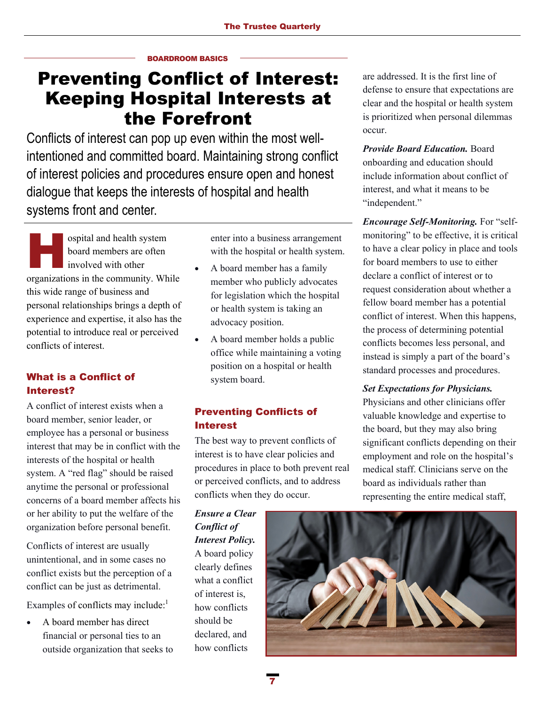#### BOARDROOM BASICS

# Preventing Conflict of Interest: Keeping Hospital Interests at the Forefront

Conflicts of interest can pop up even within the most wellintentioned and committed board. Maintaining strong conflict of interest policies and procedures ensure open and honest dialogue that keeps the interests of hospital and health systems front and center.

ospital and health system board members are often involved with other organizations in the community. While this wide range of business and personal relationships brings a depth of experience and expertise, it also has the potential to introduce real or perceived conflicts of interest.

# What is a Conflict of Interest?

A conflict of interest exists when a board member, senior leader, or employee has a personal or business interest that may be in conflict with the interests of the hospital or health system. A "red flag" should be raised anytime the personal or professional concerns of a board member affects his or her ability to put the welfare of the organization before personal benefit.

Conflicts of interest are usually unintentional, and in some cases no conflict exists but the perception of a conflict can be just as detrimental.

Examples of conflicts may include:<sup>1</sup>

 A board member has direct financial or personal ties to an outside organization that seeks to enter into a business arrangement with the hospital or health system.

- A board member has a family member who publicly advocates for legislation which the hospital or health system is taking an advocacy position.
- A board member holds a public office while maintaining a voting position on a hospital or health system board.

# Preventing Conflicts of Interest

The best way to prevent conflicts of interest is to have clear policies and procedures in place to both prevent real or perceived conflicts, and to address conflicts when they do occur.

*Ensure a Clear Conflict of Interest Policy.*  A board policy clearly defines what a conflict of interest is, how conflicts should be declared, and how conflicts

are addressed. It is the first line of defense to ensure that expectations are clear and the hospital or health system is prioritized when personal dilemmas occur.

*Provide Board Education.* Board onboarding and education should include information about conflict of interest, and what it means to be "independent."

*Encourage Self-Monitoring.* For "selfmonitoring" to be effective, it is critical to have a clear policy in place and tools for board members to use to either declare a conflict of interest or to request consideration about whether a fellow board member has a potential conflict of interest. When this happens, the process of determining potential conflicts becomes less personal, and instead is simply a part of the board's standard processes and procedures.

#### *Set Expectations for Physicians.*

Physicians and other clinicians offer valuable knowledge and expertise to the board, but they may also bring significant conflicts depending on their employment and role on the hospital's medical staff. Clinicians serve on the board as individuals rather than representing the entire medical staff,